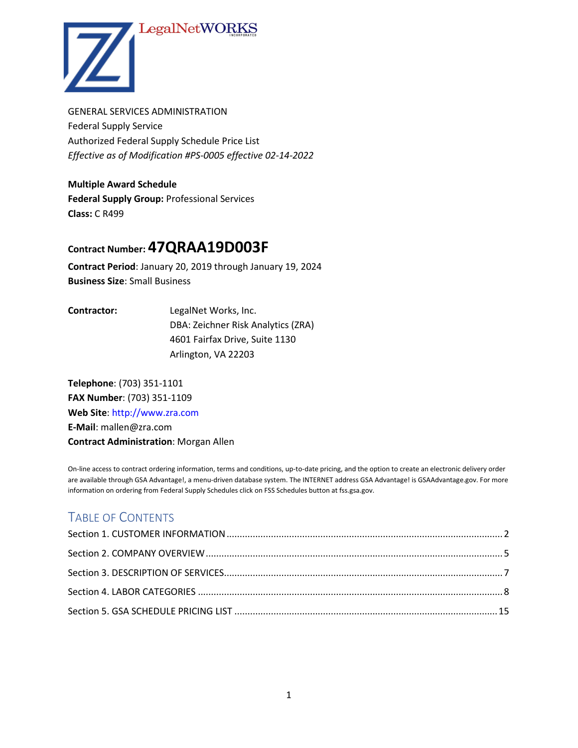# LegalNetWOI



GENERAL SERVICES ADMINISTRATION Federal Supply Service Authorized Federal Supply Schedule Price List *Effective as of Modification #PS-0005 effective 02-14-2022*

**Multiple Award Schedule Federal Supply Group:** Professional Services **Class:** C R499

# **Contract Number: 47QRAA19D003F**

**Contract Period**: January 20, 2019 through January 19, 2024 **Business Size**: Small Business

**Contractor:** LegalNet Works, Inc. DBA: Zeichner Risk Analytics (ZRA) 4601 Fairfax Drive, Suite 1130 Arlington, VA 22203

**Telephone**: (703) 351-1101 **FAX Number**: (703) 351-1109 **Web Site**: http://www.zra.com **E-Mail**: mallen@zra.com **Contract Administration**: Morgan Allen

On-line access to contract ordering information, terms and conditions, up-to-date pricing, and the option to create an electronic delivery order are available through GSA Advantage!, a menu-driven database system. The INTERNET address GSA Advantage! is GSAAdvantage.gov. For more information on ordering from Federal Supply Schedules click on FSS Schedules button at fss.gsa.gov.

# TABLE OF CONTENTS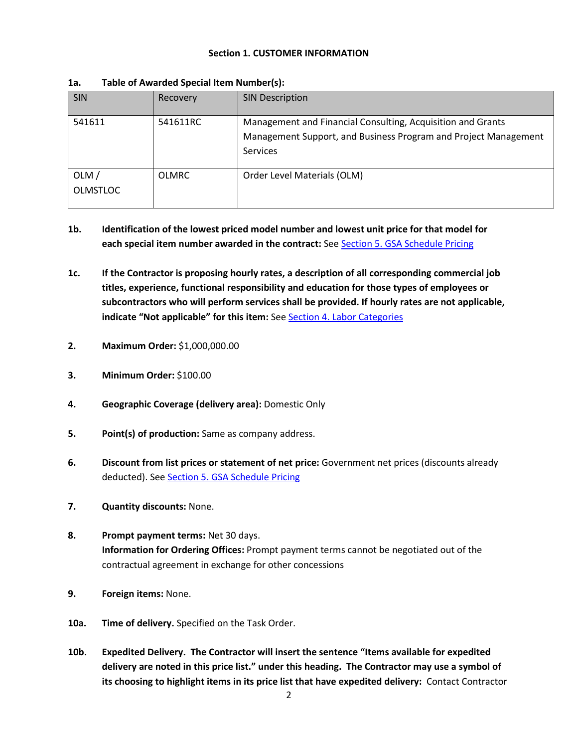### **Section 1. CUSTOMER INFORMATION**

| <b>SIN</b>              | Recovery     | <b>SIN Description</b>                                                                                                                            |
|-------------------------|--------------|---------------------------------------------------------------------------------------------------------------------------------------------------|
| 541611                  | 541611RC     | Management and Financial Consulting, Acquisition and Grants<br>Management Support, and Business Program and Project Management<br><b>Services</b> |
| OLM/<br><b>OLMSTLOC</b> | <b>OLMRC</b> | Order Level Materials (OLM)                                                                                                                       |

#### <span id="page-1-0"></span>**1a. Table of Awarded Special Item Number(s):**

- **1b. Identification of the lowest priced model number and lowest unit price for that model for each special item number awarded in the contract:** See Section 5. GSA Schedule Pricing
- **1c. If the Contractor is proposing hourly rates, a description of all corresponding commercial job titles, experience, functional responsibility and education for those types of employees or subcontractors who will perform services shall be provided. If hourly rates are not applicable, indicate "Not applicable" for this item:** See Section 4. Labor Categories
- **2. Maximum Order:** \$1,000,000.00
- **3. Minimum Order:** \$100.00
- **4. Geographic Coverage (delivery area):** Domestic Only
- **5. Point(s) of production:** Same as company address.
- **6. Discount from list prices or statement of net price:** Government net prices (discounts already deducted). See **Section 5. GSA Schedule Pricing**
- **7. Quantity discounts:** None.
- **8. Prompt payment terms:** Net 30 days. **Information for Ordering Offices:** Prompt payment terms cannot be negotiated out of the contractual agreement in exchange for other concessions
- **9. Foreign items:** None.
- **10a. Time of delivery.** Specified on the Task Order.
- **10b. Expedited Delivery. The Contractor will insert the sentence "Items available for expedited delivery are noted in this price list." under this heading. The Contractor may use a symbol of its choosing to highlight items in its price list that have expedited delivery:** Contact Contractor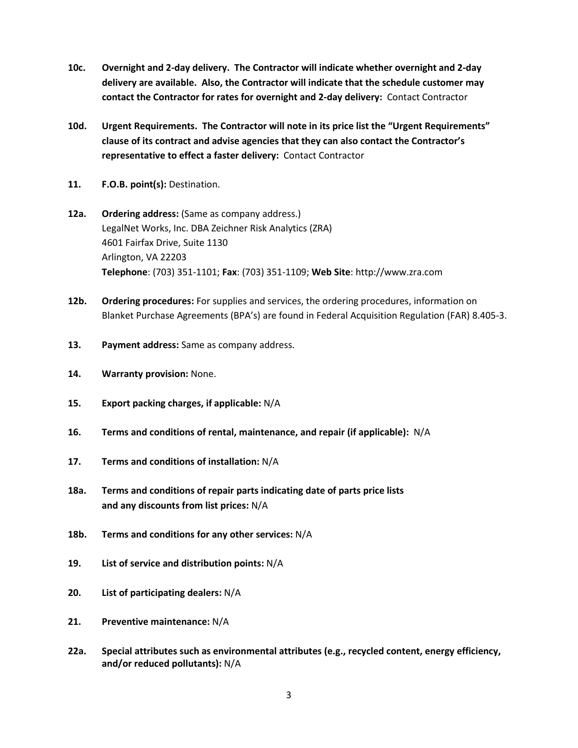- **10c. Overnight and 2-day delivery. The Contractor will indicate whether overnight and 2-day delivery are available. Also, the Contractor will indicate that the schedule customer may contact the Contractor for rates for overnight and 2-day delivery:** Contact Contractor
- **10d. Urgent Requirements. The Contractor will note in its price list the "Urgent Requirements" clause of its contract and advise agencies that they can also contact the Contractor's representative to effect a faster delivery:** Contact Contractor
- **11. F.O.B. point(s):** Destination.
- **12a. Ordering address:** (Same as company address.) LegalNet Works, Inc. DBA Zeichner Risk Analytics (ZRA) 4601 Fairfax Drive, Suite 1130 Arlington, VA 22203 **Telephone**: (703) 351-1101; **Fax**: (703) 351-1109; **Web Site**: http://www.zra.com
- **12b. Ordering procedures:** For supplies and services, the ordering procedures, information on Blanket Purchase Agreements (BPA's) are found in Federal Acquisition Regulation (FAR) 8.405-3.
- **13. Payment address:** Same as company address.
- **14. Warranty provision:** None.
- **15. Export packing charges, if applicable:** N/A
- **16. Terms and conditions of rental, maintenance, and repair (if applicable):** N/A
- **17. Terms and conditions of installation:** N/A
- **18a. Terms and conditions of repair parts indicating date of parts price lists and any discounts from list prices:** N/A
- **18b. Terms and conditions for any other services:** N/A
- **19. List of service and distribution points:** N/A
- **20. List of participating dealers:** N/A
- **21. Preventive maintenance:** N/A
- **22a. Special attributes such as environmental attributes (e.g., recycled content, energy efficiency, and/or reduced pollutants):** N/A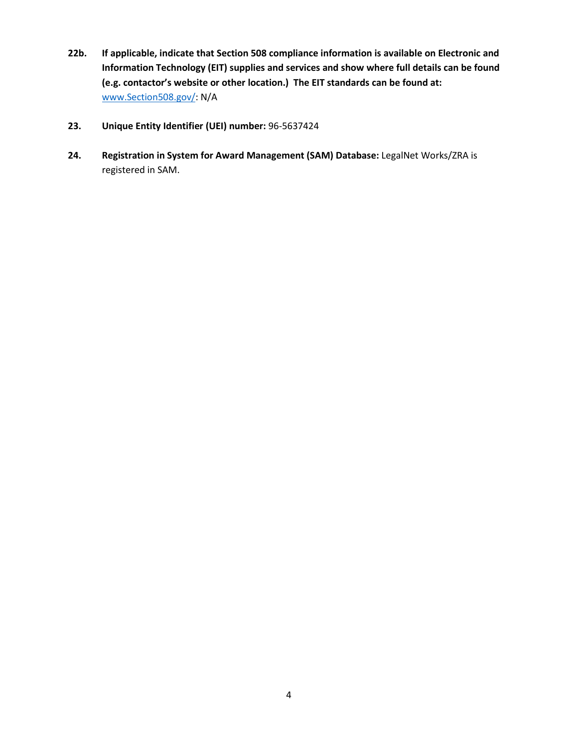- **22b. If applicable, indicate that Section 508 compliance information is available on Electronic and Information Technology (EIT) supplies and services and show where full details can be found (e.g. contactor's website or other location.) The EIT standards can be found at:**  [www.Section508.gov/:](http://www.section508.gov/) N/A
- **23. Unique Entity Identifier (UEI) number:** 96-5637424
- **24. Registration in System for Award Management (SAM) Database:** LegalNet Works/ZRA is registered in SAM.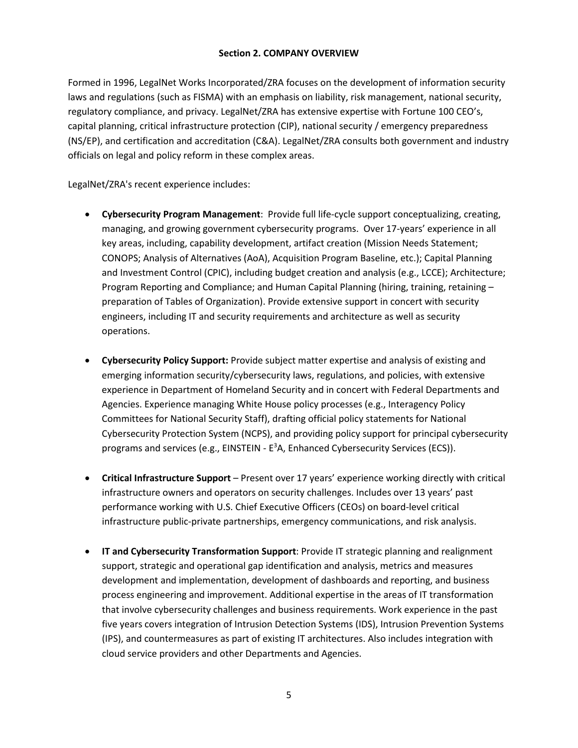# **Section 2. COMPANY OVERVIEW**

<span id="page-4-0"></span>Formed in 1996, LegalNet Works Incorporated/ZRA focuses on the development of information security laws and regulations (such as FISMA) with an emphasis on liability, risk management, national security, regulatory compliance, and privacy. LegalNet/ZRA has extensive expertise with Fortune 100 CEO's, capital planning, critical infrastructure protection (CIP), national security / emergency preparedness (NS/EP), and certification and accreditation (C&A). LegalNet/ZRA consults both government and industry officials on legal and policy reform in these complex areas.

# LegalNet/ZRA's recent experience includes:

- **Cybersecurity Program Management**: Provide full life-cycle support conceptualizing, creating, managing, and growing government cybersecurity programs. Over 17-years' experience in all key areas, including, capability development, artifact creation (Mission Needs Statement; CONOPS; Analysis of Alternatives (AoA), Acquisition Program Baseline, etc.); Capital Planning and Investment Control (CPIC), including budget creation and analysis (e.g., LCCE); Architecture; Program Reporting and Compliance; and Human Capital Planning (hiring, training, retaining – preparation of Tables of Organization). Provide extensive support in concert with security engineers, including IT and security requirements and architecture as well as security operations.
- **Cybersecurity Policy Support:** Provide subject matter expertise and analysis of existing and emerging information security/cybersecurity laws, regulations, and policies, with extensive experience in Department of Homeland Security and in concert with Federal Departments and Agencies. Experience managing White House policy processes (e.g., Interagency Policy Committees for National Security Staff), drafting official policy statements for National Cybersecurity Protection System (NCPS), and providing policy support for principal cybersecurity programs and services (e.g.,  $EINSTEIN - E<sup>3</sup>A$ ,  $Enhanced Cybersecurity Services (ECS)$ ).
- **Critical Infrastructure Support** Present over 17 years' experience working directly with critical infrastructure owners and operators on security challenges. Includes over 13 years' past performance working with U.S. Chief Executive Officers (CEOs) on board-level critical infrastructure public-private partnerships, emergency communications, and risk analysis.
- **IT and Cybersecurity Transformation Support**: Provide IT strategic planning and realignment support, strategic and operational gap identification and analysis, metrics and measures development and implementation, development of dashboards and reporting, and business process engineering and improvement. Additional expertise in the areas of IT transformation that involve cybersecurity challenges and business requirements. Work experience in the past five years covers integration of Intrusion Detection Systems (IDS), Intrusion Prevention Systems (IPS), and countermeasures as part of existing IT architectures. Also includes integration with cloud service providers and other Departments and Agencies.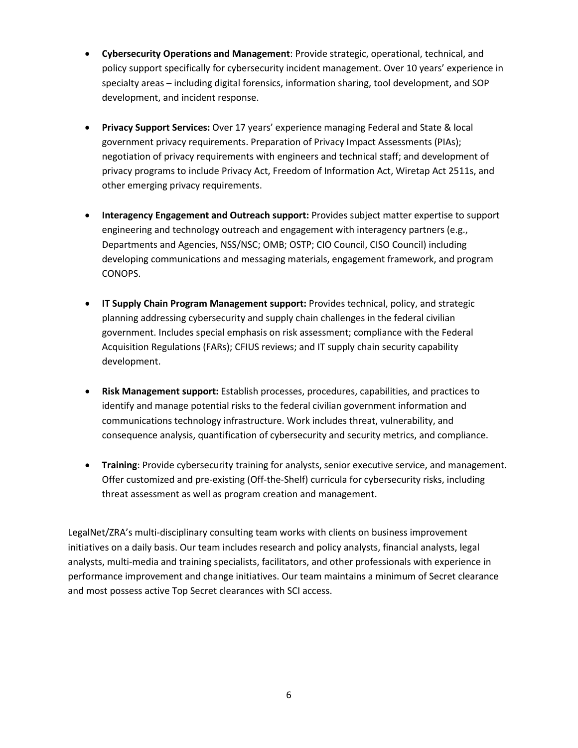- **Cybersecurity Operations and Management**: Provide strategic, operational, technical, and policy support specifically for cybersecurity incident management. Over 10 years' experience in specialty areas – including digital forensics, information sharing, tool development, and SOP development, and incident response.
- **Privacy Support Services:** Over 17 years' experience managing Federal and State & local government privacy requirements. Preparation of Privacy Impact Assessments (PIAs); negotiation of privacy requirements with engineers and technical staff; and development of privacy programs to include Privacy Act, Freedom of Information Act, Wiretap Act 2511s, and other emerging privacy requirements.
- **Interagency Engagement and Outreach support:** Provides subject matter expertise to support engineering and technology outreach and engagement with interagency partners (e.g., Departments and Agencies, NSS/NSC; OMB; OSTP; CIO Council, CISO Council) including developing communications and messaging materials, engagement framework, and program CONOPS.
- **IT Supply Chain Program Management support:** Provides technical, policy, and strategic planning addressing cybersecurity and supply chain challenges in the federal civilian government. Includes special emphasis on risk assessment; compliance with the Federal Acquisition Regulations (FARs); CFIUS reviews; and IT supply chain security capability development.
- **Risk Management support:** Establish processes, procedures, capabilities, and practices to identify and manage potential risks to the federal civilian government information and communications technology infrastructure. Work includes threat, vulnerability, and consequence analysis, quantification of cybersecurity and security metrics, and compliance.
- **Training**: Provide cybersecurity training for analysts, senior executive service, and management. Offer customized and pre-existing (Off-the-Shelf) curricula for cybersecurity risks, including threat assessment as well as program creation and management.

LegalNet/ZRA's multi-disciplinary consulting team works with clients on business improvement initiatives on a daily basis. Our team includes research and policy analysts, financial analysts, legal analysts, multi-media and training specialists, facilitators, and other professionals with experience in performance improvement and change initiatives. Our team maintains a minimum of Secret clearance and most possess active Top Secret clearances with SCI access.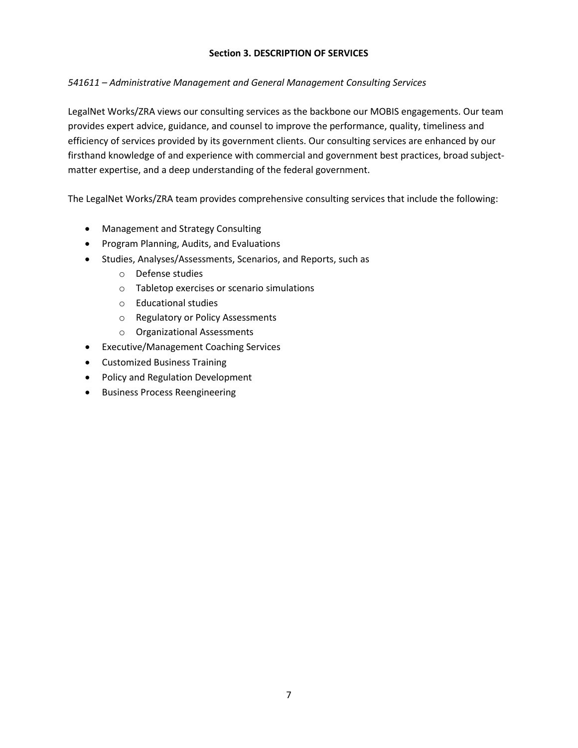# **Section 3. DESCRIPTION OF SERVICES**

# <span id="page-6-0"></span>*541611 – Administrative Management and General Management Consulting Services*

LegalNet Works/ZRA views our consulting services as the backbone our MOBIS engagements. Our team provides expert advice, guidance, and counsel to improve the performance, quality, timeliness and efficiency of services provided by its government clients. Our consulting services are enhanced by our firsthand knowledge of and experience with commercial and government best practices, broad subjectmatter expertise, and a deep understanding of the federal government.

The LegalNet Works/ZRA team provides comprehensive consulting services that include the following:

- Management and Strategy Consulting
- Program Planning, Audits, and Evaluations
- Studies, Analyses/Assessments, Scenarios, and Reports, such as
	- o Defense studies
	- o Tabletop exercises or scenario simulations
	- o Educational studies
	- o Regulatory or Policy Assessments
	- o Organizational Assessments
- Executive/Management Coaching Services
- Customized Business Training
- Policy and Regulation Development
- Business Process Reengineering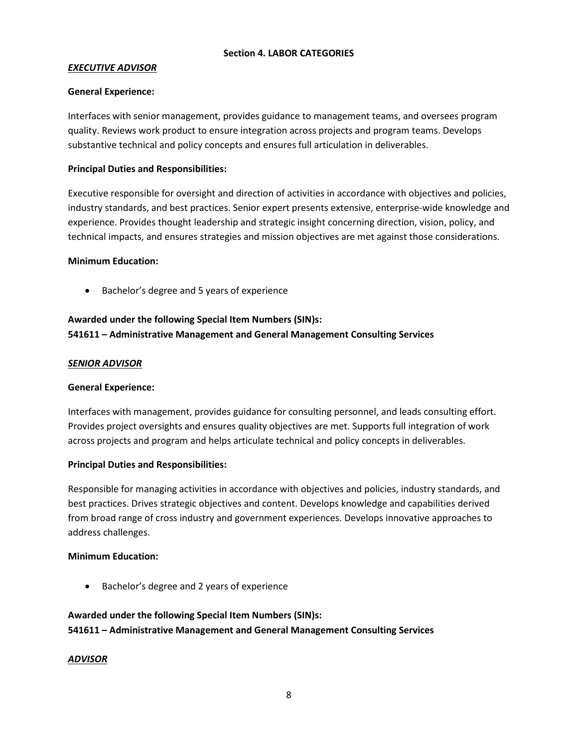# **Section 4. LABOR CATEGORIES**

# <span id="page-7-0"></span>*EXECUTIVE ADVISOR*

### **General Experience:**

Interfaces with senior management, provides guidance to management teams, and oversees program quality. Reviews work product to ensure integration across projects and program teams. Develops substantive technical and policy concepts and ensures full articulation in deliverables.

# **Principal Duties and Responsibilities:**

Executive responsible for oversight and direction of activities in accordance with objectives and policies, industry standards, and best practices. Senior expert presents extensive, enterprise-wide knowledge and experience. Provides thought leadership and strategic insight concerning direction, vision, policy, and technical impacts, and ensures strategies and mission objectives are met against those considerations.

#### **Minimum Education:**

• Bachelor's degree and 5 years of experience

# **Awarded under the following Special Item Numbers (SIN)s: 541611 – Administrative Management and General Management Consulting Services**

# *SENIOR ADVISOR*

# **General Experience:**

Interfaces with management, provides guidance for consulting personnel, and leads consulting effort. Provides project oversights and ensures quality objectives are met. Supports full integration of work across projects and program and helps articulate technical and policy concepts in deliverables.

# **Principal Duties and Responsibilities:**

Responsible for managing activities in accordance with objectives and policies, industry standards, and best practices. Drives strategic objectives and content. Develops knowledge and capabilities derived from broad range of cross industry and government experiences. Develops innovative approaches to address challenges.

# **Minimum Education:**

• Bachelor's degree and 2 years of experience

# **Awarded under the following Special Item Numbers (SIN)s: 541611 – Administrative Management and General Management Consulting Services**

# *ADVISOR*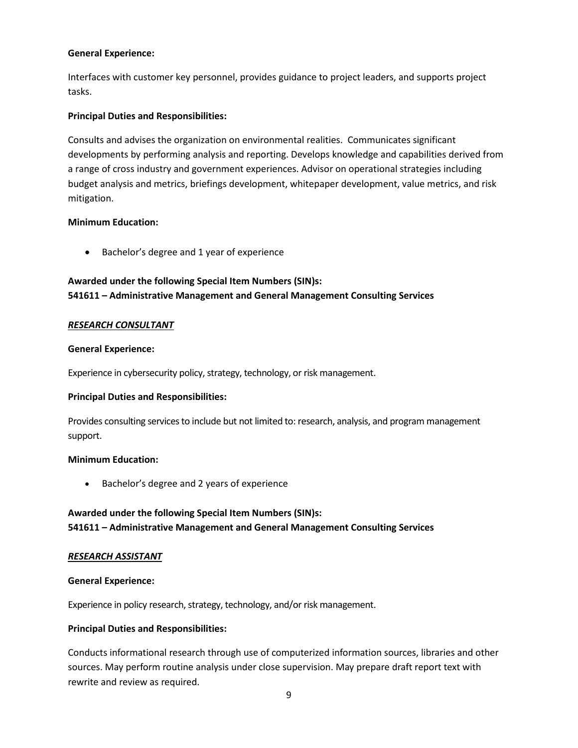### **General Experience:**

Interfaces with customer key personnel, provides guidance to project leaders, and supports project tasks.

### **Principal Duties and Responsibilities:**

Consults and advises the organization on environmental realities. Communicates significant developments by performing analysis and reporting. Develops knowledge and capabilities derived from a range of cross industry and government experiences. Advisor on operational strategies including budget analysis and metrics, briefings development, whitepaper development, value metrics, and risk mitigation.

#### **Minimum Education:**

• Bachelor's degree and 1 year of experience

# **Awarded under the following Special Item Numbers (SIN)s: 541611 – Administrative Management and General Management Consulting Services**

#### *RESEARCH CONSULTANT*

#### **General Experience:**

Experience in cybersecurity policy, strategy, technology, or risk management.

#### **Principal Duties and Responsibilities:**

Provides consulting services to include but not limited to: research, analysis, and program management support.

#### **Minimum Education:**

• Bachelor's degree and 2 years of experience

# **Awarded under the following Special Item Numbers (SIN)s: 541611 – Administrative Management and General Management Consulting Services**

#### *RESEARCH ASSISTANT*

#### **General Experience:**

Experience in policy research, strategy, technology, and/or risk management.

# **Principal Duties and Responsibilities:**

Conducts informational research through use of computerized information sources, libraries and other sources. May perform routine analysis under close supervision. May prepare draft report text with rewrite and review as required.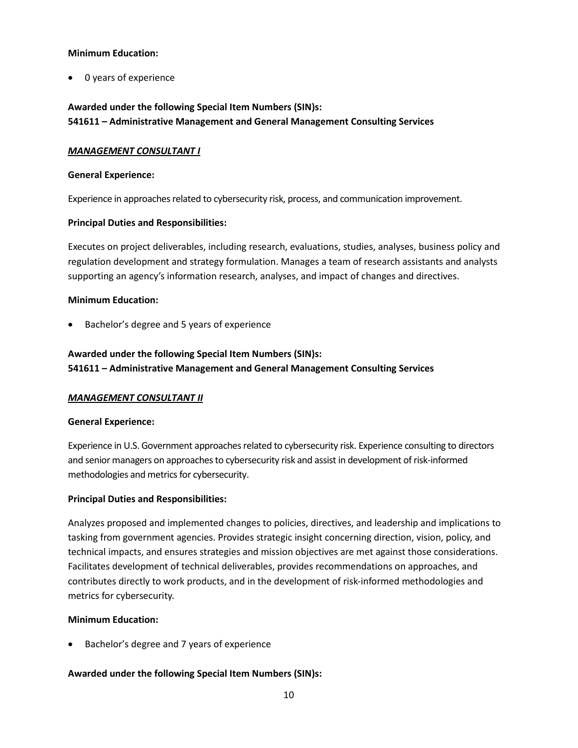### **Minimum Education:**

• 0 years of experience

# **Awarded under the following Special Item Numbers (SIN)s: 541611 – Administrative Management and General Management Consulting Services**

# *MANAGEMENT CONSULTANT I*

### **General Experience:**

Experience in approaches related to cybersecurity risk, process, and communication improvement.

# **Principal Duties and Responsibilities:**

Executes on project deliverables, including research, evaluations, studies, analyses, business policy and regulation development and strategy formulation. Manages a team of research assistants and analysts supporting an agency's information research, analyses, and impact of changes and directives.

# **Minimum Education:**

• Bachelor's degree and 5 years of experience

# **Awarded under the following Special Item Numbers (SIN)s: 541611 – Administrative Management and General Management Consulting Services**

# *MANAGEMENT CONSULTANT II*

# **General Experience:**

Experience in U.S. Government approaches related to cybersecurity risk. Experience consulting to directors and senior managers on approaches to cybersecurity risk and assist in development of risk-informed methodologies and metrics for cybersecurity.

# **Principal Duties and Responsibilities:**

Analyzes proposed and implemented changes to policies, directives, and leadership and implications to tasking from government agencies. Provides strategic insight concerning direction, vision, policy, and technical impacts, and ensures strategies and mission objectives are met against those considerations. Facilitates development of technical deliverables, provides recommendations on approaches, and contributes directly to work products, and in the development of risk-informed methodologies and metrics for cybersecurity.

# **Minimum Education:**

• Bachelor's degree and 7 years of experience

# **Awarded under the following Special Item Numbers (SIN)s:**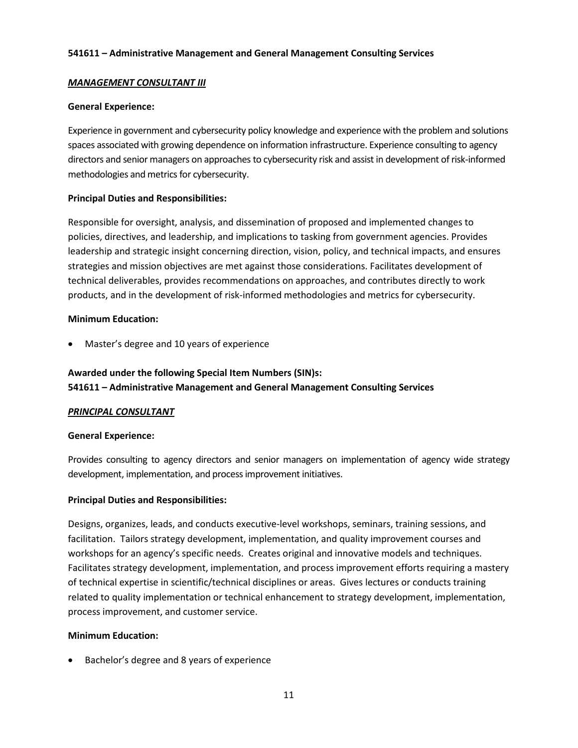### **541611 – Administrative Management and General Management Consulting Services**

### *MANAGEMENT CONSULTANT III*

#### **General Experience:**

Experience in government and cybersecurity policy knowledge and experience with the problem and solutions spaces associated with growing dependence on information infrastructure. Experience consulting to agency directors and senior managers on approaches to cybersecurity risk and assist in development of risk-informed methodologies and metrics for cybersecurity.

#### **Principal Duties and Responsibilities:**

Responsible for oversight, analysis, and dissemination of proposed and implemented changes to policies, directives, and leadership, and implications to tasking from government agencies. Provides leadership and strategic insight concerning direction, vision, policy, and technical impacts, and ensures strategies and mission objectives are met against those considerations. Facilitates development of technical deliverables, provides recommendations on approaches, and contributes directly to work products, and in the development of risk-informed methodologies and metrics for cybersecurity.

#### **Minimum Education:**

• Master's degree and 10 years of experience

# **Awarded under the following Special Item Numbers (SIN)s: 541611 – Administrative Management and General Management Consulting Services**

# *PRINCIPAL CONSULTANT*

#### **General Experience:**

Provides consulting to agency directors and senior managers on implementation of agency wide strategy development, implementation, and process improvement initiatives.

# **Principal Duties and Responsibilities:**

Designs, organizes, leads, and conducts executive-level workshops, seminars, training sessions, and facilitation. Tailors strategy development, implementation, and quality improvement courses and workshops for an agency's specific needs. Creates original and innovative models and techniques. Facilitates strategy development, implementation, and process improvement efforts requiring a mastery of technical expertise in scientific/technical disciplines or areas. Gives lectures or conducts training related to quality implementation or technical enhancement to strategy development, implementation, process improvement, and customer service.

#### **Minimum Education:**

• Bachelor's degree and 8 years of experience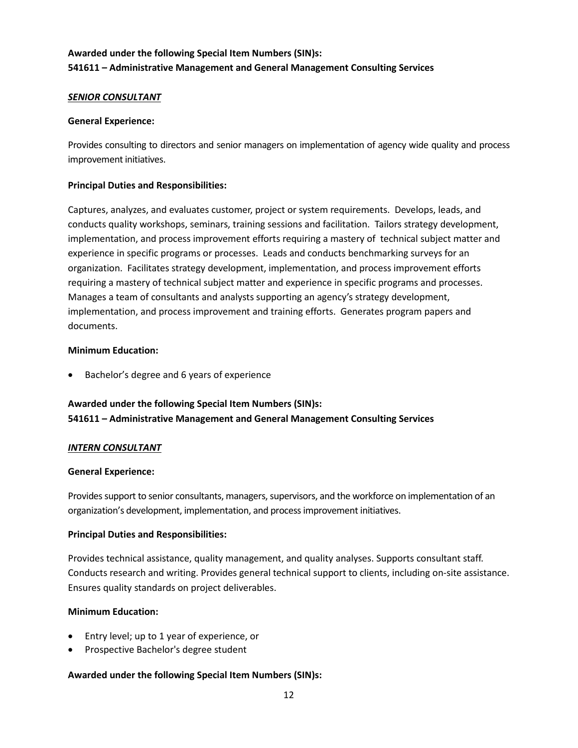# **Awarded under the following Special Item Numbers (SIN)s: 541611 – Administrative Management and General Management Consulting Services**

# *SENIOR CONSULTANT*

#### **General Experience:**

Provides consulting to directors and senior managers on implementation of agency wide quality and process improvement initiatives.

# **Principal Duties and Responsibilities:**

Captures, analyzes, and evaluates customer, project or system requirements. Develops, leads, and conducts quality workshops, seminars, training sessions and facilitation. Tailors strategy development, implementation, and process improvement efforts requiring a mastery of technical subject matter and experience in specific programs or processes. Leads and conducts benchmarking surveys for an organization. Facilitates strategy development, implementation, and process improvement efforts requiring a mastery of technical subject matter and experience in specific programs and processes. Manages a team of consultants and analysts supporting an agency's strategy development, implementation, and process improvement and training efforts. Generates program papers and documents.

# **Minimum Education:**

Bachelor's degree and 6 years of experience

# **Awarded under the following Special Item Numbers (SIN)s: 541611 – Administrative Management and General Management Consulting Services**

#### *INTERN CONSULTANT*

#### **General Experience:**

Provides support to senior consultants, managers, supervisors, and the workforce on implementation of an organization's development, implementation, and process improvement initiatives.

# **Principal Duties and Responsibilities:**

Provides technical assistance, quality management, and quality analyses. Supports consultant staff. Conducts research and writing. Provides general technical support to clients, including on-site assistance. Ensures quality standards on project deliverables.

# **Minimum Education:**

- Entry level; up to 1 year of experience, or
- Prospective Bachelor's degree student

# **Awarded under the following Special Item Numbers (SIN)s:**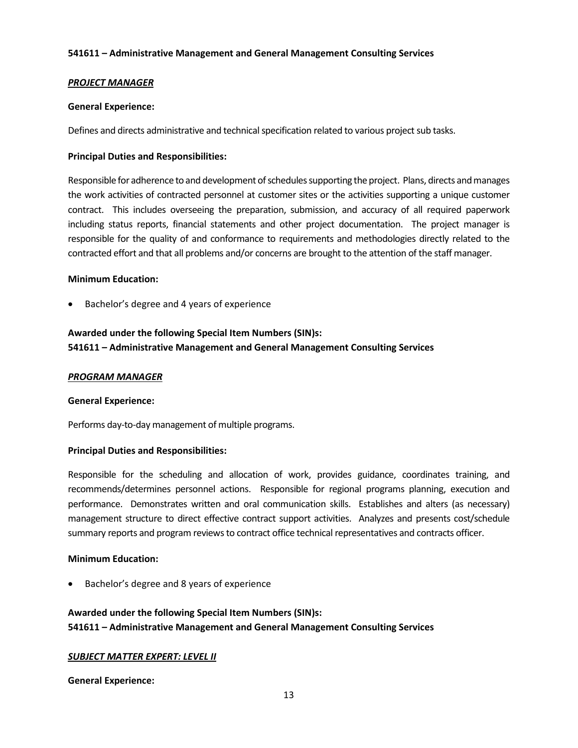#### **541611 – Administrative Management and General Management Consulting Services**

### *PROJECT MANAGER*

#### **General Experience:**

Defines and directs administrative and technical specification related to various project sub tasks.

#### **Principal Duties and Responsibilities:**

Responsible for adherence to and development of schedules supporting the project. Plans, directs and manages the work activities of contracted personnel at customer sites or the activities supporting a unique customer contract. This includes overseeing the preparation, submission, and accuracy of all required paperwork including status reports, financial statements and other project documentation. The project manager is responsible for the quality of and conformance to requirements and methodologies directly related to the contracted effort and that all problems and/or concerns are brought to the attention of the staff manager.

#### **Minimum Education:**

• Bachelor's degree and 4 years of experience

# **Awarded under the following Special Item Numbers (SIN)s: 541611 – Administrative Management and General Management Consulting Services**

#### *PROGRAM MANAGER*

#### **General Experience:**

Performs day-to-day management of multiple programs.

# **Principal Duties and Responsibilities:**

Responsible for the scheduling and allocation of work, provides guidance, coordinates training, and recommends/determines personnel actions. Responsible for regional programs planning, execution and performance. Demonstrates written and oral communication skills. Establishes and alters (as necessary) management structure to direct effective contract support activities. Analyzes and presents cost/schedule summary reports and program reviews to contract office technical representatives and contracts officer.

# **Minimum Education:**

• Bachelor's degree and 8 years of experience

# **Awarded under the following Special Item Numbers (SIN)s: 541611 – Administrative Management and General Management Consulting Services**

# *SUBJECT MATTER EXPERT: LEVEL II*

**General Experience:**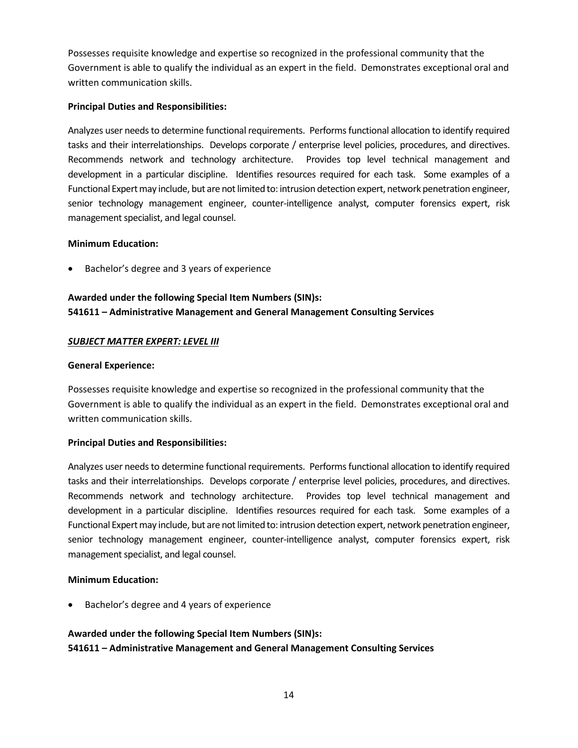Possesses requisite knowledge and expertise so recognized in the professional community that the Government is able to qualify the individual as an expert in the field. Demonstrates exceptional oral and written communication skills.

# **Principal Duties and Responsibilities:**

Analyzes user needs to determine functional requirements. Performs functional allocation to identify required tasks and their interrelationships. Develops corporate / enterprise level policies, procedures, and directives. Recommends network and technology architecture. Provides top level technical management and development in a particular discipline. Identifies resources required for each task. Some examples of a Functional Expert may include, but are not limited to: intrusion detection expert, network penetration engineer, senior technology management engineer, counter-intelligence analyst, computer forensics expert, risk management specialist, and legal counsel.

# **Minimum Education:**

• Bachelor's degree and 3 years of experience

# **Awarded under the following Special Item Numbers (SIN)s: 541611 – Administrative Management and General Management Consulting Services**

# *SUBJECT MATTER EXPERT: LEVEL III*

# **General Experience:**

Possesses requisite knowledge and expertise so recognized in the professional community that the Government is able to qualify the individual as an expert in the field. Demonstrates exceptional oral and written communication skills.

# **Principal Duties and Responsibilities:**

Analyzes user needs to determine functional requirements. Performs functional allocation to identify required tasks and their interrelationships. Develops corporate / enterprise level policies, procedures, and directives. Recommends network and technology architecture. Provides top level technical management and development in a particular discipline. Identifies resources required for each task. Some examples of a Functional Expert may include, but are not limited to: intrusion detection expert, network penetration engineer, senior technology management engineer, counter-intelligence analyst, computer forensics expert, risk management specialist, and legal counsel.

# **Minimum Education:**

• Bachelor's degree and 4 years of experience

# **Awarded under the following Special Item Numbers (SIN)s: 541611 – Administrative Management and General Management Consulting Services**